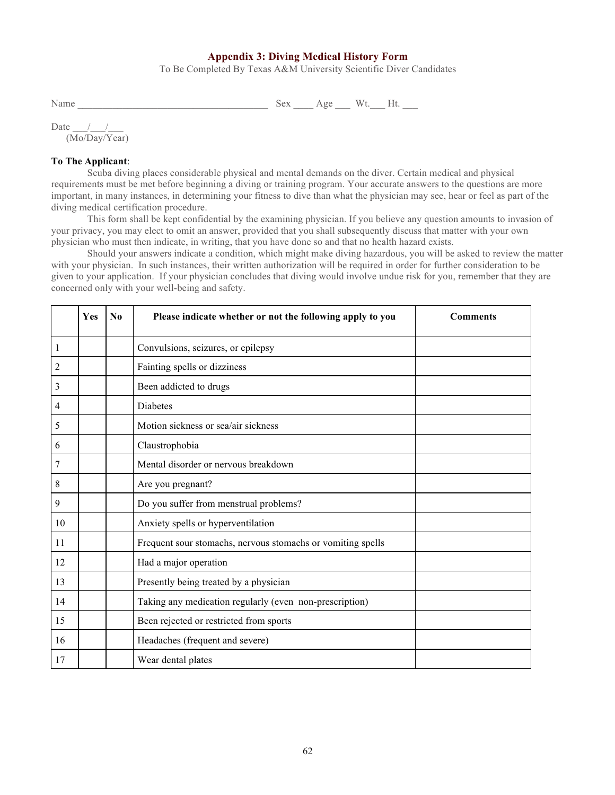## **Appendix 3: Diving Medical History Form**

To Be Completed By Texas A&M University Scientific Diver Candidates

Name \_\_\_\_\_\_\_\_\_\_\_\_\_\_\_\_\_\_\_\_\_\_\_\_\_\_\_\_\_\_\_\_\_\_\_\_\_\_ Sex \_\_\_\_ Age \_\_\_ Wt.\_\_\_ Ht. \_\_\_

Date  $\frac{\frac{1}{2}}{2}$ (Mo/Day/Year)

## **To The Applicant**:

Scuba diving places considerable physical and mental demands on the diver. Certain medical and physical requirements must be met before beginning a diving or training program. Your accurate answers to the questions are more important, in many instances, in determining your fitness to dive than what the physician may see, hear or feel as part of the diving medical certification procedure.

This form shall be kept confidential by the examining physician. If you believe any question amounts to invasion of your privacy, you may elect to omit an answer, provided that you shall subsequently discuss that matter with your own physician who must then indicate, in writing, that you have done so and that no health hazard exists.

Should your answers indicate a condition, which might make diving hazardous, you will be asked to review the matter with your physician. In such instances, their written authorization will be required in order for further consideration to be given to your application. If your physician concludes that diving would involve undue risk for you, remember that they are concerned only with your well-being and safety.

|    | Yes | $\bf No$ | Please indicate whether or not the following apply to you   | <b>Comments</b> |
|----|-----|----------|-------------------------------------------------------------|-----------------|
| 1  |     |          | Convulsions, seizures, or epilepsy                          |                 |
| 2  |     |          | Fainting spells or dizziness                                |                 |
| 3  |     |          | Been addicted to drugs                                      |                 |
| 4  |     |          | Diabetes                                                    |                 |
| 5  |     |          | Motion sickness or sea/air sickness                         |                 |
| 6  |     |          | Claustrophobia                                              |                 |
| 7  |     |          | Mental disorder or nervous breakdown                        |                 |
| 8  |     |          | Are you pregnant?                                           |                 |
| 9  |     |          | Do you suffer from menstrual problems?                      |                 |
| 10 |     |          | Anxiety spells or hyperventilation                          |                 |
| 11 |     |          | Frequent sour stomachs, nervous stomachs or vomiting spells |                 |
| 12 |     |          | Had a major operation                                       |                 |
| 13 |     |          | Presently being treated by a physician                      |                 |
| 14 |     |          | Taking any medication regularly (even non-prescription)     |                 |
| 15 |     |          | Been rejected or restricted from sports                     |                 |
| 16 |     |          | Headaches (frequent and severe)                             |                 |
| 17 |     |          | Wear dental plates                                          |                 |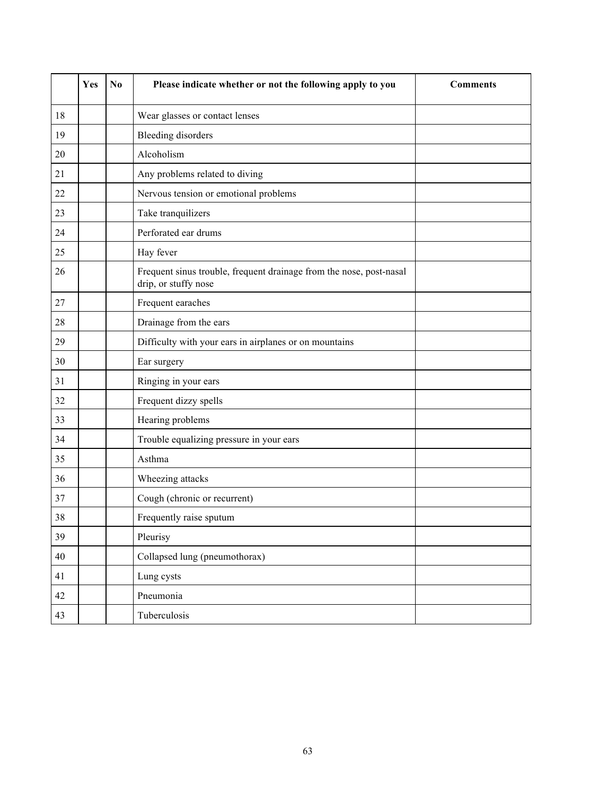|    | Yes | N <sub>0</sub> | Please indicate whether or not the following apply to you                                   | <b>Comments</b> |
|----|-----|----------------|---------------------------------------------------------------------------------------------|-----------------|
| 18 |     |                | Wear glasses or contact lenses                                                              |                 |
| 19 |     |                | <b>Bleeding disorders</b>                                                                   |                 |
| 20 |     |                | Alcoholism                                                                                  |                 |
| 21 |     |                | Any problems related to diving                                                              |                 |
| 22 |     |                | Nervous tension or emotional problems                                                       |                 |
| 23 |     |                | Take tranquilizers                                                                          |                 |
| 24 |     |                | Perforated ear drums                                                                        |                 |
| 25 |     |                | Hay fever                                                                                   |                 |
| 26 |     |                | Frequent sinus trouble, frequent drainage from the nose, post-nasal<br>drip, or stuffy nose |                 |
| 27 |     |                | Frequent earaches                                                                           |                 |
| 28 |     |                | Drainage from the ears                                                                      |                 |
| 29 |     |                | Difficulty with your ears in airplanes or on mountains                                      |                 |
| 30 |     |                | Ear surgery                                                                                 |                 |
| 31 |     |                | Ringing in your ears                                                                        |                 |
| 32 |     |                | Frequent dizzy spells                                                                       |                 |
| 33 |     |                | Hearing problems                                                                            |                 |
| 34 |     |                | Trouble equalizing pressure in your ears                                                    |                 |
| 35 |     |                | Asthma                                                                                      |                 |
| 36 |     |                | Wheezing attacks                                                                            |                 |
| 37 |     |                | Cough (chronic or recurrent)                                                                |                 |
| 38 |     |                | Frequently raise sputum                                                                     |                 |
| 39 |     |                | Pleurisy                                                                                    |                 |
| 40 |     |                | Collapsed lung (pneumothorax)                                                               |                 |
| 41 |     |                | Lung cysts                                                                                  |                 |
| 42 |     |                | Pneumonia                                                                                   |                 |
| 43 |     |                | Tuberculosis                                                                                |                 |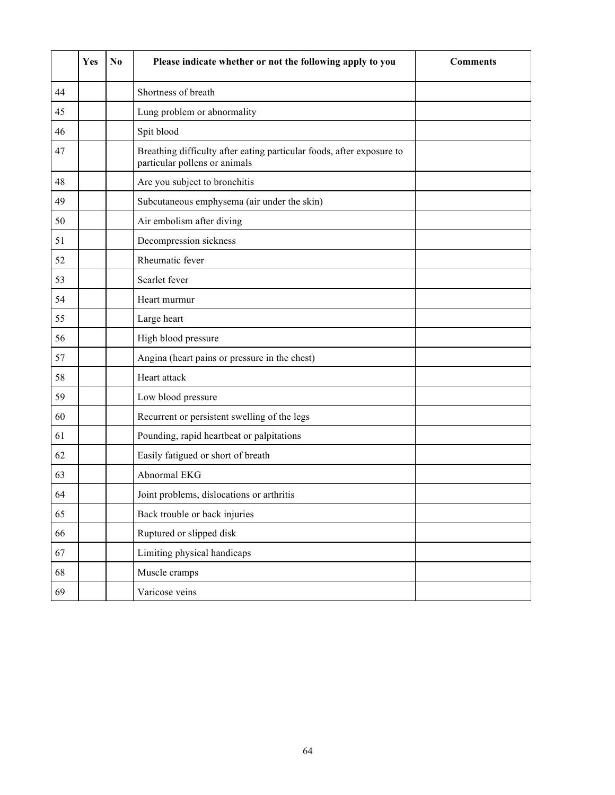|    | Yes | N <sub>0</sub> | Please indicate whether or not the following apply to you                                              | <b>Comments</b> |
|----|-----|----------------|--------------------------------------------------------------------------------------------------------|-----------------|
| 44 |     |                | Shortness of breath                                                                                    |                 |
| 45 |     |                | Lung problem or abnormality                                                                            |                 |
| 46 |     |                | Spit blood                                                                                             |                 |
| 47 |     |                | Breathing difficulty after eating particular foods, after exposure to<br>particular pollens or animals |                 |
| 48 |     |                | Are you subject to bronchitis                                                                          |                 |
| 49 |     |                | Subcutaneous emphysema (air under the skin)                                                            |                 |
| 50 |     |                | Air embolism after diving                                                                              |                 |
| 51 |     |                | Decompression sickness                                                                                 |                 |
| 52 |     |                | Rheumatic fever                                                                                        |                 |
| 53 |     |                | Scarlet fever                                                                                          |                 |
| 54 |     |                | Heart murmur                                                                                           |                 |
| 55 |     |                | Large heart                                                                                            |                 |
| 56 |     |                | High blood pressure                                                                                    |                 |
| 57 |     |                | Angina (heart pains or pressure in the chest)                                                          |                 |
| 58 |     |                | Heart attack                                                                                           |                 |
| 59 |     |                | Low blood pressure                                                                                     |                 |
| 60 |     |                | Recurrent or persistent swelling of the legs                                                           |                 |
| 61 |     |                | Pounding, rapid heartbeat or palpitations                                                              |                 |
| 62 |     |                | Easily fatigued or short of breath                                                                     |                 |
| 63 |     |                | Abnormal EKG                                                                                           |                 |
| 64 |     |                | Joint problems, dislocations or arthritis                                                              |                 |
| 65 |     |                | Back trouble or back injuries                                                                          |                 |
| 66 |     |                | Ruptured or slipped disk                                                                               |                 |
| 67 |     |                | Limiting physical handicaps                                                                            |                 |
| 68 |     |                | Muscle cramps                                                                                          |                 |
| 69 |     |                | Varicose veins                                                                                         |                 |